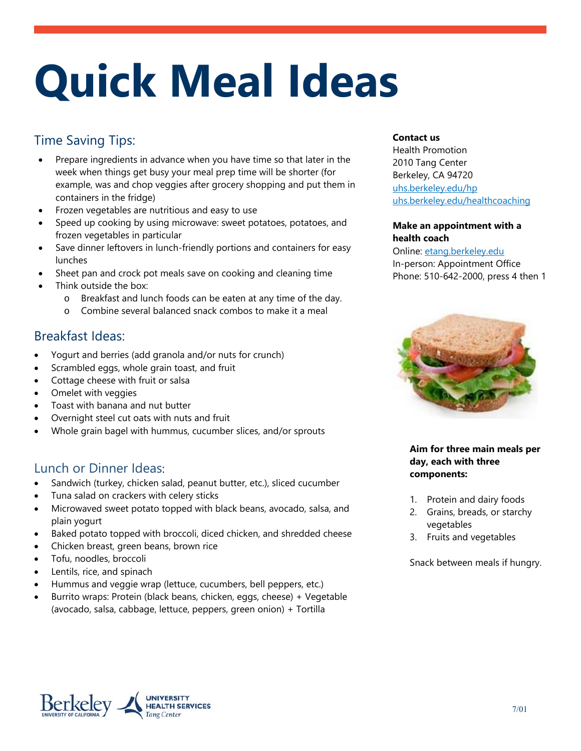# **Quick Meal Ideas**

## Time Saving Tips:

- Prepare ingredients in advance when you have time so that later in the week when things get busy your meal prep time will be shorter (for example, was and chop veggies after grocery shopping and put them in containers in the fridge)
- Frozen vegetables are nutritious and easy to use
- Speed up cooking by using microwave: sweet potatoes, potatoes, and frozen vegetables in particular
- Save dinner leftovers in lunch-friendly portions and containers for easy lunches
- Sheet pan and crock pot meals save on cooking and cleaning time
- Think outside the box:
	- o Breakfast and lunch foods can be eaten at any time of the day.
	- o Combine several balanced snack combos to make it a meal

## Breakfast Ideas:

- Yogurt and berries (add granola and/or nuts for crunch)
- Scrambled eggs, whole grain toast, and fruit
- Cottage cheese with fruit or salsa
- Omelet with veggies
- Toast with banana and nut butter
- Overnight steel cut oats with nuts and fruit
- Whole grain bagel with hummus, cucumber slices, and/or sprouts

## Lunch or Dinner Ideas:

- Sandwich (turkey, chicken salad, peanut butter, etc.), sliced cucumber
- Tuna salad on crackers with celery sticks
- Microwaved sweet potato topped with black beans, avocado, salsa, and plain yogurt
- Baked potato topped with broccoli, diced chicken, and shredded cheese
- Chicken breast, green beans, brown rice
- Tofu, noodles, broccoli
- Lentils, rice, and spinach
- Hummus and veggie wrap (lettuce, cucumbers, bell peppers, etc.)
- Burrito wraps: Protein (black beans, chicken, eggs, cheese) + Vegetable (avocado, salsa, cabbage, lettuce, peppers, green onion) + Tortilla

#### **Contact us**

Health Promotion 2010 Tang Center Berkeley, CA 94720 uhs.berkeley.edu/hp uhs.berkeley.edu/healthcoaching

#### **Make an appointment with a health coach**

Online: etang.berkeley.edu In-person: Appointment Office Phone: 510-642-2000, press 4 then 1



#### **Aim for three main meals per day, each with three components:**

- 1. Protein and dairy foods
- 2. Grains, breads, or starchy vegetables
- 3. Fruits and vegetables

Snack between meals if hungry.